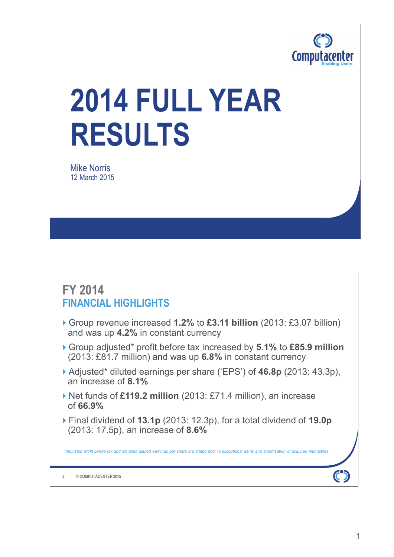

# **2014 FULL YEAR RESULTS**

Mike Norris 12 March 2015

## **FY 2014 FINANCIAL HIGHLIGHTS**

- Group revenue increased **1.2%** to **£3.11 billion** (2013: £3.07 billion) and was up **4.2%** in constant currency
- Group adjusted\* profit before tax increased by **5.1%** to **£85.9 million**  (2013: £81.7 million) and was up **6.8%** in constant currency
- Adjusted\* diluted earnings per share ('EPS') of **46.8p** (2013: 43.3p), an increase of **8.1%**
- ▶ Net funds of £119.2 million (2013: £71.4 million), an increase of **66.9%**
- Final dividend of **13.1p** (2013: 12.3p), for a total dividend of **19.0p** (2013: 17.5p), an increase of **8.6%**

*\*Adjusted profit before tax and adjusted diluted earnings per share are stated prior to exceptional items and amortisation of acquired intangibles.* 

**© COMPUTACENTER 2015 2**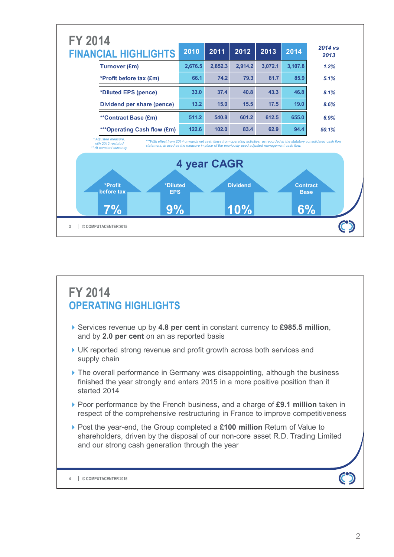

# **FY 2014 OPERATING HIGHLIGHTS**

- Services revenue up by **4.8 per cent** in constant currency to **£985.5 million**, and by **2.0 per cent** on an as reported basis
- UK reported strong revenue and profit growth across both services and supply chain
- $\triangleright$  The overall performance in Germany was disappointing, although the business finished the year strongly and enters 2015 in a more positive position than it started 2014
- ▶ Poor performance by the French business, and a charge of £9.1 million taken in respect of the comprehensive restructuring in France to improve competitiveness
- Post the year-end, the Group completed a **£100 million** Return of Value to shareholders, driven by the disposal of our non-core asset R.D. Trading Limited and our strong cash generation through the year

**© COMPUTACENTER 2015 4**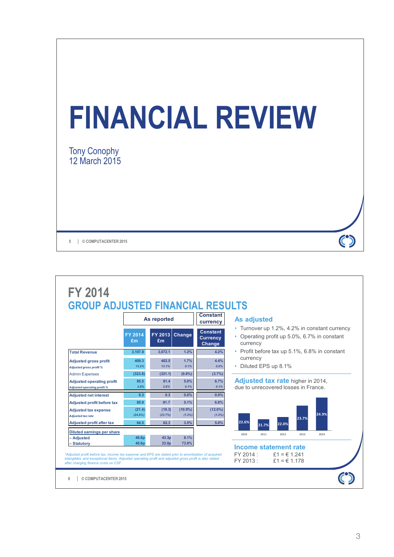

|                                                                        |                      | As reported       |                      | <b>Constant</b><br>currency                  | <b>As adjusted</b>                                                                                        |
|------------------------------------------------------------------------|----------------------|-------------------|----------------------|----------------------------------------------|-----------------------------------------------------------------------------------------------------------|
|                                                                        | <b>FY 2014</b><br>Em | £m                | $FY$ 2013 Change     | Constant<br><b>Currency</b><br><b>Change</b> | • Turnover up 1.2%, 4.2% in constant currency<br>• Operating profit up 5.0%, 6.7% in constant<br>currency |
| <b>Total Revenue</b>                                                   | 3.107.8              | 3.072.1           | 1.2%                 | 4.2%                                         | • Profit before tax up 5.1%, 6.8% in constant                                                             |
| <b>Adjusted gross profit</b><br><b>Adjusted gross profit %</b>         | 409.3<br>13.2%       | 402.5<br>13.1%    | 1.7%<br>0.1%         | 4.4%<br>0.0%                                 | currency<br>• Diluted EPS up 8.1%                                                                         |
| <b>Admin Expenses</b>                                                  | (323.8)              | (321.1)           | (0.8% )              | (3.7%)                                       |                                                                                                           |
| <b>Adjusted operating profit</b><br><b>Adjusted operating profit %</b> | 85.5<br>2.8%         | 81.4<br>2.6%      | 5.0%<br>0.1%         | 6.7%<br>0.1%                                 | Adjusted tax rate higher in 2014,<br>due to unrecovered losses in France.                                 |
| <b>Adjusted net interest</b>                                           | 0.3                  | 0.3               | 0.0%                 | 0.0%                                         |                                                                                                           |
| <b>Adjusted profit before tax</b>                                      | 85.9                 | 81.7              | 5.1%                 | 6.8%                                         |                                                                                                           |
| <b>Adjusted tax expense</b><br><b>Adjusted tax rate</b>                | (21.4)<br>(24.9%)    | (19.3)<br>(23.7%) | $(10.9\%)$<br>(1.2%) | $(12.6\%)$<br>(1.2%)                         | 24.9%<br>23.7%                                                                                            |
| <b>Adjusted profit after tax</b>                                       | 64.5                 | 62.3              | 3.5%                 | 5.0%                                         | 22.6%<br>22.0%<br>21.7%                                                                                   |
| <b>Diluted earnings per share</b><br>- Adjusted                        | 46.8p                | 43.3p             | 8.1%                 |                                              | 2010<br>2011<br>2012<br>2013<br>2014                                                                      |
|                                                                        |                      |                   | 73.9%                |                                              |                                                                                                           |

3

D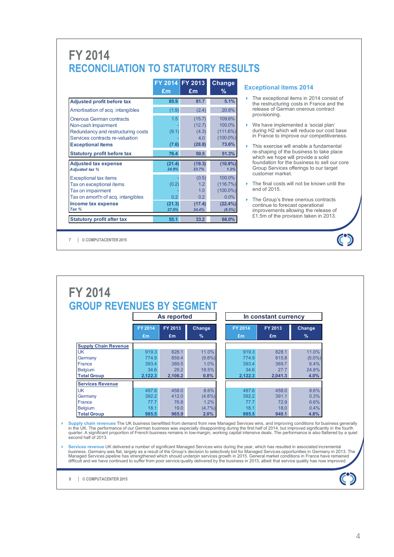# **FY 2014 RECONCILIATION TO STATUTORY RESULTS**

|                                                                                                                                                             | £m                                  | FY 2014 FY 2013<br>£m                      | Change<br>%                                             |
|-------------------------------------------------------------------------------------------------------------------------------------------------------------|-------------------------------------|--------------------------------------------|---------------------------------------------------------|
| <b>Adjusted profit before tax</b>                                                                                                                           | 85.9                                | 81.7                                       | 5.1%                                                    |
| Amortisation of acq. intangibles                                                                                                                            | (1.9)                               | (2.4)                                      | 20.8%                                                   |
| <b>Onerous German contracts</b><br>Non-cash Impairment<br>Redundancy and restructuring costs<br>Services contracts re-valuation<br><b>Exceptional items</b> | 1.5<br>(9.1)<br>(7.6)               | (15.7)<br>(12.7)<br>(4.3)<br>4.0<br>(28.8) | 109.6%<br>100.0%<br>(111.6%)<br>$(100.0\%)$<br>73.6%    |
| <b>Statutory profit before tax</b>                                                                                                                          | 76.4                                | 50.5                                       | 51.3%                                                   |
| <b>Adjusted tax expense</b><br><b>Adjusted tax %</b>                                                                                                        | (21.4)<br>24.9%                     | (19.3)<br>23.7%                            | $(10.9\%)$<br>1.2%                                      |
| <b>Exceptional tax items</b><br>Tax on exceptional items<br>Tax on impairment<br>Tax on amort'n of acq. intangibles<br>Income tax expense                   | (0.2)<br>0.2 <sub>0</sub><br>(21.3) | (0.5)<br>1.2<br>1.0<br>0.2<br>(17.4)       | 100.0%<br>(116.7%)<br>$(100.0\%)$<br>0.0%<br>$(22.4\%)$ |
| Tax %                                                                                                                                                       | 27.9%                               | 34.4%                                      | (6.5%)                                                  |
| <b>Statutory profit after tax</b>                                                                                                                           | 55.1                                | 33.2                                       | 66.0%                                                   |

#### **Exceptional items 2014**

- The exceptional items in 2014 consist of the restructuring costs in France and the release of German onerous contract provisioning.
- We have implemented a 'social plan' during H2 which will reduce our cost base in France to improve our competitiveness.
- This exercise will enable a fundamental re-shaping of the business to take place which we hope will provide a solid foundation for the business to sell our core Group Services offerings to our target customer market.
- The final costs will not be known until the end of 2015.

 $\mathbf C$ 

 The Group's three onerous contracts continue to forecast operational improvements allowing the release of £1.5m of the provision taken in 2013.

**© COMPUTACENTER 2015 7**

|                             |                | As reported |               |                | In constant currency |               |
|-----------------------------|----------------|-------------|---------------|----------------|----------------------|---------------|
|                             | <b>FY 2014</b> | FY 2013     | Change        | <b>FY 2014</b> | FY 2013              | Change        |
|                             | £m             | £m          | $\frac{9}{6}$ | £m             | £m                   | $\frac{9}{6}$ |
| <b>Supply Chain Revenue</b> |                |             |               |                |                      |               |
| <b>UK</b>                   | 919.3          | 828.1       | 11.0%         | 919.3          | 828.1                | 11.0%         |
| Germany                     | 774.9          | 859.4       | $(9.8\%)$     | 774.9          | 815.8                | $(5.0\%)$     |
| France                      | 393.4          | 389.5       | 1.0%          | 393.4          | 369.7                | 6.4%          |
| <b>Belgium</b>              | 34.6           | 29.2        | 18.5%         | 34.6           | 27.7                 | 24.8%         |
| <b>Total Group</b>          | 2,122.3        | 2,106.2     | 0.8%          | 2,122.3        | 2,041.3              | 4.0%          |
| <b>Services Revenue</b>     |                |             |               |                |                      |               |
| <b>UK</b>                   | 497.6          | 458.0       | 8.6%          | 497.6          | 458.0                | 8.6%          |
| Germany                     | 392.2          | 412.0       | $(4.8\%)$     | 392.2          | 391.1                | 0.3%          |
| France                      | 77.7           | 76.8        | 1.2%          | 77.7           | 72.9                 | 6.6%          |
| <b>Belgium</b>              | 18.1           | 19.0        | $(4.7\%)$     | 18.1           | 18.0                 | 0.4%          |
| <b>Total Group</b>          | 985.5          | 965.9       | 2.0%          | 985.5          | 940.1                | 4.8%          |

Supply chain revenues The UK business benefitted from demand from new Managed Services wins, and improving conditions for business generally<br>in the UK. The performance of our German business was especially disappointing du second half of 2013.

Services revenue UK delivered a number of significant Managed Services wins during the year, which has resulted in associated incremental<br>business. Germany was flat, largely as a result of the Group's decision to selective

**© COMPUTACENTER 2015 8**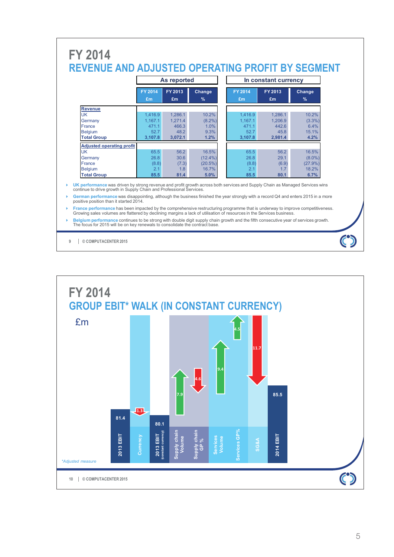|                                  |                      | As reported   |                         |                      | In constant currency |                         |
|----------------------------------|----------------------|---------------|-------------------------|----------------------|----------------------|-------------------------|
|                                  | <b>FY 2014</b><br>£m | FY 2013<br>£m | Change<br>$\frac{9}{6}$ | <b>FY 2014</b><br>£m | FY 2013<br>£m        | Change<br>$\frac{9}{6}$ |
| <b>Revenue</b>                   |                      |               |                         |                      |                      |                         |
| <b>UK</b>                        | 1.416.9              | 1.286.1       | 10.2%                   | 1.416.9              | 1.286.1              | 10.2%                   |
| Germany                          | 1.167.1              | 1.271.4       | $(8.2\%)$               | 1.167.1              | 1.206.9              | $(3.3\%)$               |
| France                           | 471.1                | 466.3         | 1.0%                    | 471.1                | 442.6                | 6.4%                    |
| <b>Belgium</b>                   | 52.7                 | 48.2          | 9.3%                    | 52.7                 | 45.8                 | 15.1%                   |
| <b>Total Group</b>               | 3.107.8              | 3,072.1       | 1.2%                    | 3,107.8              | 2.981.4              | 4.2%                    |
| <b>Adjusted operating profit</b> |                      |               |                         |                      |                      |                         |
| <b>UK</b>                        | 65.5                 | 56.2          | 16.5%                   | 65.5                 | 56.2                 | 16.5%                   |
| Germany                          | 26.8                 | 30.6          | $(12.4\%)$              | 26.8                 | 29.1                 | $(8.0\%)$               |
| France                           | (8.8)                | (7.3)         | $(20.5\%)$              | (8.8)                | (6.9)                | $(27.9\%)$              |
| <b>Belgium</b>                   | 2.1                  | 1.8           | 16.7%                   | 2.1                  | 1.7                  | 18.2%                   |
| <b>Total Group</b>               | 85.5                 | 81.4          | 5.0%                    | 85.5                 | 80.1                 | 6.7%                    |

- **Belgium performance** continues to be strong with double digit supply chain growth and the fifth consecutive year of services growth.<br>The focus for 2015 will be on key renewals to consolidate the contract base.
- **© COMPUTACENTER 2015 9**

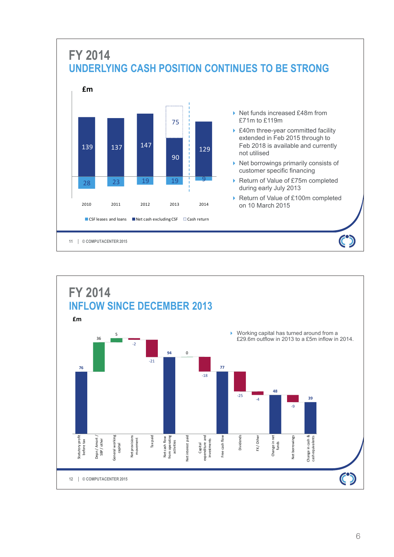

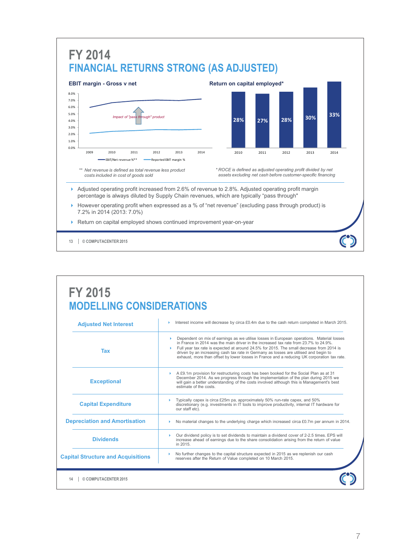

# **FY 2015 MODELLING CONSIDERATIONS**

| <b>Adjusted Net Interest</b>              | Interest income will decrease by circa £0.4m due to the cash return completed in March 2015.                                                                                                                                                                                                                                                                                                                                                                         |
|-------------------------------------------|----------------------------------------------------------------------------------------------------------------------------------------------------------------------------------------------------------------------------------------------------------------------------------------------------------------------------------------------------------------------------------------------------------------------------------------------------------------------|
| Tax                                       | Dependent on mix of earnings as we utilise losses in European operations. Material losses<br>in France in 2014 was the main driver in the increased tax rate from 23.7% to 24.9%.<br>Full year tax rate is expected at around 24.5% for 2015. The small decrease from 2014 is<br>driven by an increasing cash tax rate in Germany as losses are utilised and begin to<br>exhaust, more than offset by lower losses in France and a reducing UK corporation tax rate. |
| <b>Exceptional</b>                        | A £9.1m provision for restructuring costs has been booked for the Social Plan as at 31<br>December 2014. As we progress through the implementation of the plan during 2015 we<br>will gain a better understanding of the costs involved although this is Management's best<br>estimate of the costs.                                                                                                                                                                 |
| <b>Capital Expenditure</b>                | Typically capex is circa £25m pa, approximately 50% run-rate capex, and 50%<br>discretionary (e.g. investments in IT tools to improve productivity, internal IT hardware for<br>our staff etc).                                                                                                                                                                                                                                                                      |
| <b>Depreciation and Amortisation</b>      | No material changes to the underlying charge which increased circa £0.7m per annum in 2014.                                                                                                                                                                                                                                                                                                                                                                          |
| <b>Dividends</b>                          | Our dividend policy is to set dividends to maintain a dividend cover of 2-2.5 times. EPS will<br>increase ahead of earnings due to the share consolidation arising from the return of value<br>in 2015.                                                                                                                                                                                                                                                              |
| <b>Capital Structure and Acquisitions</b> | No further changes to the capital structure expected in 2015 as we replenish our cash<br>reserves after the Return of Value completed on 10 March 2015.                                                                                                                                                                                                                                                                                                              |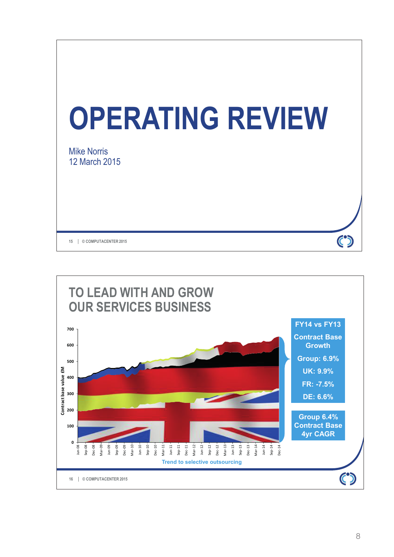

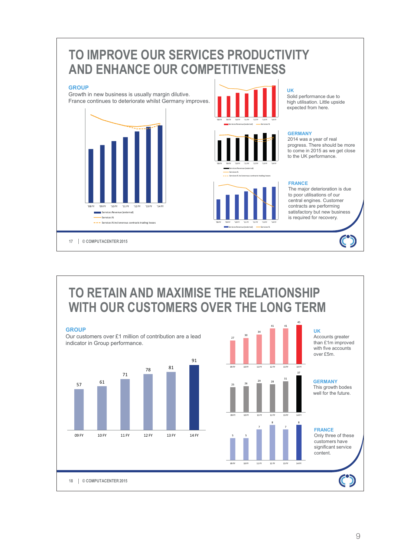

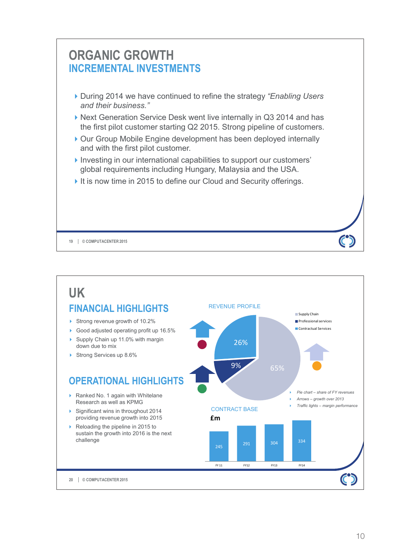

**© COMPUTACENTER 2015 19**

- ▶ During 2014 we have continued to refine the strategy "Enabling Users" *and their business."*
- ▶ Next Generation Service Desk went live internally in Q3 2014 and has the first pilot customer starting Q2 2015. Strong pipeline of customers.
- ▶ Our Group Mobile Engine development has been deployed internally and with the first pilot customer.
- Investing in our international capabilities to support our customers' global requirements including Hungary, Malaysia and the USA.
- It is now time in 2015 to define our Cloud and Security offerings.



 $\mathbf{C}$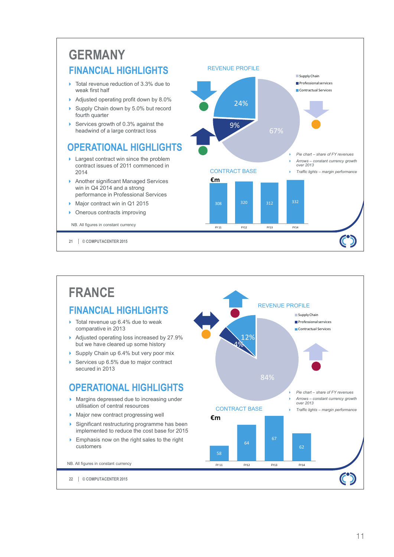# **GERMANY FINANCIAL HIGHLIGHTS**

- ▶ Total revenue reduction of 3.3% due to weak first half
- Adjusted operating profit down by 8.0%
- Supply Chain down by 5.0% but record fourth quarter
- Services growth of 0.3% against the headwind of a large contract loss

## **OPERATIONAL HIGHLIGHTS**

- ▶ Largest contract win since the problem contract issues of 2011 commenced in 2014
- Another significant Managed Services win in Q4 2014 and a strong performance in Professional Services
- Major contract win in Q1 2015
- **Denous contracts improving**

NB. All figures in constant currency

**© COMPUTACENTER 2015 21**



# **FRANCE FINANCIAL HIGHLIGHTS**

- ▶ Total revenue up 6.4% due to weak comparative in 2013
- Adjusted operating loss increased by 27.9% but we have cleared up some history
- Supply Chain up 6.4% but very poor mix
- ▶ Services up 6.5% due to major contract secured in 2013

## **OPERATIONAL HIGHLIGHTS**

- **Margins depressed due to increasing under** utilisation of central resources
- Major new contract progressing well

**© COMPUTACENTER 2015 22**

NB. All figures in constant currency

- $\triangleright$  Significant restructuring programme has been implemented to reduce the cost base for 2015
- **Emphasis now on the right sales to the right** customers

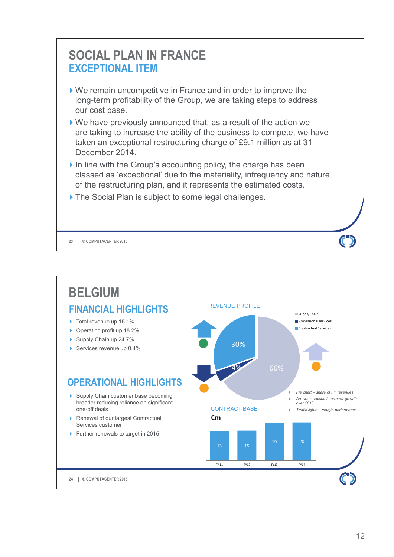

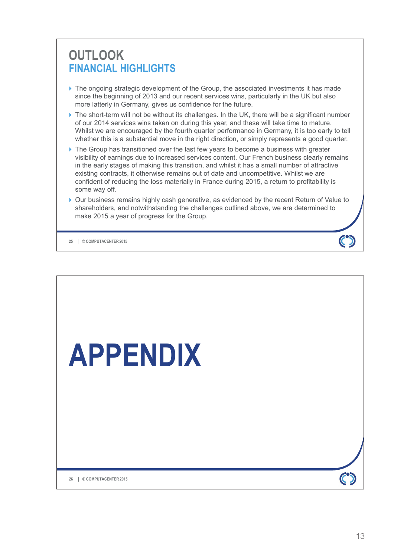# **OUTLOOK FINANCIAL HIGHLIGHTS**

- $\blacktriangleright$  The ongoing strategic development of the Group, the associated investments it has made since the beginning of 2013 and our recent services wins, particularly in the UK but also more latterly in Germany, gives us confidence for the future.
- $\triangleright$  The short-term will not be without its challenges. In the UK, there will be a significant number of our 2014 services wins taken on during this year, and these will take time to mature. Whilst we are encouraged by the fourth quarter performance in Germany, it is too early to tell whether this is a substantial move in the right direction, or simply represents a good quarter.
- $\triangleright$  The Group has transitioned over the last few years to become a business with greater visibility of earnings due to increased services content. Our French business clearly remains in the early stages of making this transition, and whilst it has a small number of attractive existing contracts, it otherwise remains out of date and uncompetitive. Whilst we are confident of reducing the loss materially in France during 2015, a return to profitability is some way off.
- Our business remains highly cash generative, as evidenced by the recent Return of Value to shareholders, and notwithstanding the challenges outlined above, we are determined to make 2015 a year of progress for the Group.

**© COMPUTACENTER 2015 25**

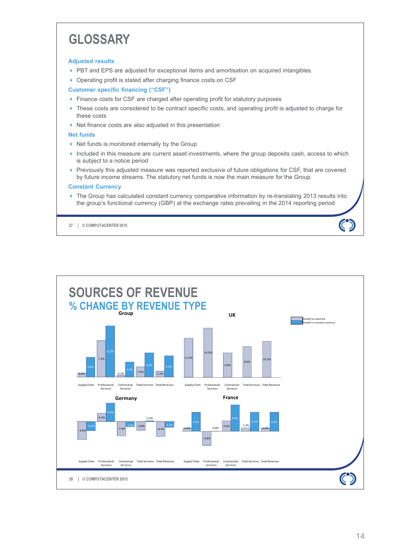# **GLOSSARY**

#### **Adjusted results**

- PBT and EPS are adjusted for exceptional items and amortisation on acquired intangibles.
- ▶ Operating profit is stated after charging finance costs on CSF

## **Customer specific financing ("CSF")**

- Finance costs for CSF are charged after operating profit for statutory purposes
- ▶ These costs are considered to be contract specific costs, and operating profit is adjusted to charge for these costs
- $\triangleright$  Net finance costs are also adjusted in this presentation

## **Net funds**

- $\triangleright$  Net funds is monitored internally by the Group
- Included in this measure are current asset investments, where the group deposits cash, access to which is subject to a notice period
- Previously this adjusted measure was reported exclusive of future obligations for CSF, that are covered by future income streams. The statutory net funds is now the main measure for the Group

## **Constant Currency**

▶ The Group has calculated constant currency comparative information by re-translating 2013 results into the group's functional currency (GBP) at the exchange rates prevailing in the 2014 reporting period

**© COMPUTACENTER 2015 27**

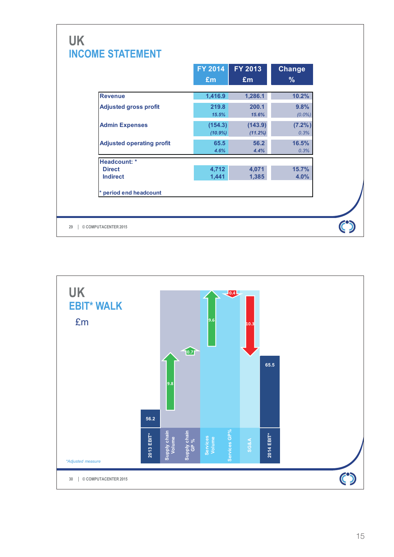|                                  | FY 2014               | FY 2013            | <b>Change</b>     |
|----------------------------------|-----------------------|--------------------|-------------------|
|                                  | £m                    | £m                 | $\%$              |
| <b>Revenue</b>                   | 1,416.9               | 1,286.1            | 10.2%             |
| <b>Adjusted gross profit</b>     | 219.8<br>15.5%        | 200.1<br>15.6%     | 9.8%<br>$(0.0\%)$ |
| <b>Admin Expenses</b>            | (154.3)<br>$(10.9\%)$ | (143.9)<br>(11.2%) | (7.2%)<br>0.3%    |
| <b>Adjusted operating profit</b> | 65.5<br>4.6%          | 56.2<br>4.4%       | 16.5%<br>0.3%     |
| Headcount: *                     |                       |                    |                   |
| <b>Direct</b><br><b>Indirect</b> | 4,712<br>1,441        | 4,071<br>1,385     | 15.7%<br>4.0%     |
| * period end headcount           |                       |                    |                   |

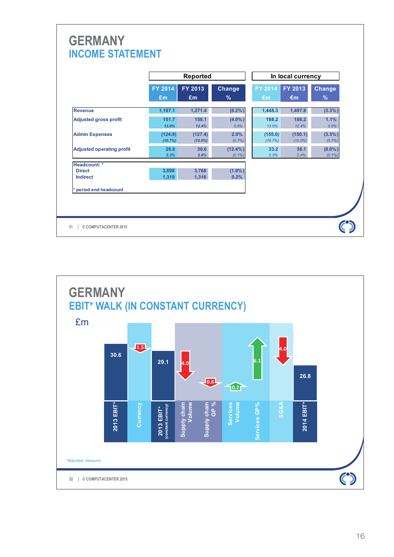|                                  |                      | Reported              |                         |                    | In local currency       |                        |
|----------------------------------|----------------------|-----------------------|-------------------------|--------------------|-------------------------|------------------------|
|                                  | <b>FY 2014</b><br>£m | FY 2013<br>£m         | <b>Change</b><br>$\%$   | FY 2014<br>€m      | FY 2013<br>$\epsilon$ m | <b>Change</b><br>$\%$  |
| <b>Revenue</b>                   | 1,167.1              | 1.271.4               | (8.2%)                  | 1,448.3            | 1.497.8                 | $(3.3\%)$              |
| <b>Adjusted gross profit</b>     | 151.7<br>13.0%       | 158.1<br>12.4%        | $(4.0\%)$<br>0.6%       | 188.2<br>13.0%     | 186.2<br>12.4%          | 1.1%<br>0.6%           |
| <b>Admin Expenses</b>            | (124.9)<br>(10.7%)   | (127.4)<br>$(10.0\%)$ | 2.0%<br>(0.7%           | (155.0)<br>(10.7%) | (150.1)<br>$(10.0\%)$   | (3.3%)<br>(0.7%        |
| <b>Adjusted operating profit</b> | 26.8<br>2.3%         | 30.6<br>2.4%          | $(12.4\%)$<br>$(0.1\%)$ | 33.2<br>2.3%       | 36.1<br>2.4%            | $(8.0\%)$<br>$(0.1\%)$ |
| Headcount: *                     |                      |                       |                         |                    |                         |                        |
| <b>Direct</b><br><b>Indirect</b> | 3,698<br>1,319       | 3,768<br>1,316        | $(1.9\%)$<br>0.2%       |                    |                         |                        |
| period end headcount             |                      |                       |                         |                    |                         |                        |

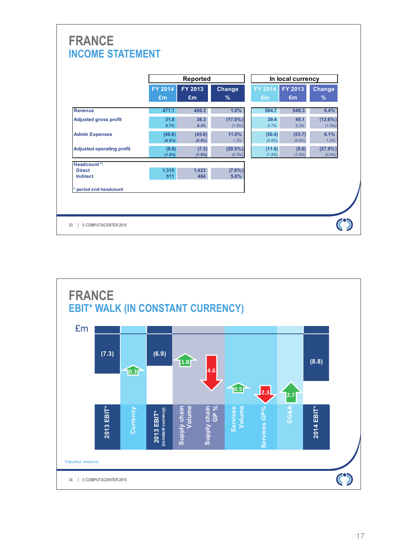|                                  |                     | Reported         |                         | In local currency   |                         |                                |  |
|----------------------------------|---------------------|------------------|-------------------------|---------------------|-------------------------|--------------------------------|--|
|                                  | FY 2014<br>£m       | FY 2013<br>£m    | <b>Change</b><br>$\%$   | FY 2014<br>€m       | FY 2013<br>$\epsilon$ m | <b>Change</b><br>$\frac{9}{6}$ |  |
| <b>Revenue</b>                   | 471.1               | 466.3            | 1.0%                    | 584.7               | 549.3                   | 6.4%                           |  |
| <b>Adjusted gross profit</b>     | 31.8<br>6.7%        | 38.3<br>8.2%     | $(17.0\%)$<br>(1.5%)    | 39.4<br>6.7%        | 45.1<br>8.2%            | $(12.6\%)$<br>(1.5%)           |  |
| <b>Admin Expenses</b>            | (40.6)<br>$(8.6\%)$ | (45.6)<br>(9.8%) | 11.0%<br>1.2%           | (50.4)<br>$(8.6\%)$ | (53.7)<br>(9.8%)        | 6.1%<br>1.2%                   |  |
| <b>Adjusted operating profit</b> | (8.8)<br>$(1.9\%)$  | (7.3)<br>(1.6%)  | $(20.5\%)$<br>$(0.3\%)$ | (11.0)<br>$(1.9\%)$ | (8.6)<br>$(1.6\%)$      | (27.9% )<br>(0.3%)             |  |
| <b>Headcount *:</b>              |                     |                  |                         |                     |                         |                                |  |
| <b>Direct</b><br><b>Indirect</b> | 1,315<br>511        | 1,423<br>484     | $(7.6\%)$<br>5.6%       |                     |                         |                                |  |
| * period end headcount           |                     |                  |                         |                     |                         |                                |  |

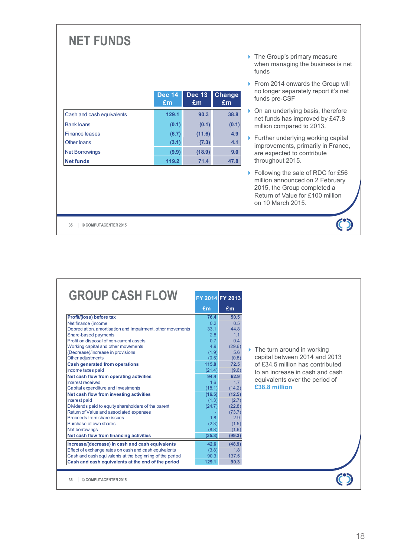# **NET FUNDS**

|                           | <b>Dec 14</b><br>£m | <b>Dec 13</b><br>Em | Change<br>Em |
|---------------------------|---------------------|---------------------|--------------|
| Cash and cash equivalents | 129.1               | 90.3                | 38.8         |
| <b>Bank loans</b>         | (0.1)               | (0.1)               | (0.1)        |
| <b>Finance leases</b>     | (6.7)               | (11.6)              | 4.9          |
| Other loans               | (3.1)               | (7.3)               | 4.1          |
| <b>Net Borrowings</b>     | (9.9)               | (18.9)              | 9.0          |
| <b>Net funds</b>          | 119.2               | 71.4                | 47.8         |

- ▶ The Group's primary measure when managing the business is net funds
- From 2014 onwards the Group will no longer separately report it's net funds pre-CSF
- ▶ On an underlying basis, therefore net funds has improved by £47.8 million compared to 2013.
- $\blacktriangleright$  Further underlying working capital improvements, primarily in France, are expected to contribute throughout 2015.
- ▶ Following the sale of RDC for £56 million announced on 2 February 2015, the Group completed a Return of Value for £100 million on 10 March 2015.

 $\ddot{\mathbf{C}}$ 

**© COMPUTACENTER 2015 35**

| <b>GROUP CASH FLOW</b>                                     | FY 2014 FY 2013 |        |                                             |
|------------------------------------------------------------|-----------------|--------|---------------------------------------------|
|                                                            | £m              | £m     |                                             |
| Profit/(loss) before tax                                   | 76.4            | 50.5   |                                             |
| Net finance (income                                        | 0.2             | 0.5    |                                             |
| Depreciation, amortisation and impairment, other movements | 33.1            | 44.8   |                                             |
| Share-based payments                                       | 2.8             | 1.1    |                                             |
| Profit on disposal of non-current assets                   | 0.7             | 0.4    |                                             |
| Working capital and other movements                        | 4.9             | (29.6) |                                             |
| (Decrease)/increase in provisions                          | (1.9)           | 5.6    | $\triangleright$ The turn around in working |
| Other adjustments                                          | (0.5)           | (0.8)  | capital between 2014 and 2013               |
| <b>Cash generated from operations</b>                      | 115.8           | 72.5   | of £34.5 million has contributed            |
| Income taxes paid                                          | (21.4)          | (9.6)  | to an increase in cash and cash             |
| Net cash flow from operating activities                    | 94.4            | 62.9   |                                             |
| Interest received                                          | 1.6             | 1.7    | equivalents over the period of              |
| Capital expenditure and investments                        | (18.1)          | (14.2) | £38.8 million                               |
| Net cash flow from investing activities                    | (16.5)          | (12.5) |                                             |
| Interest paid                                              | (1.3)           | (2.7)  |                                             |
| Dividends paid to equity shareholders of the parent        | (24.7)          | (22.8) |                                             |
| Return of Value and associated expenses                    |                 | (73.7) |                                             |
| Proceeds from share issues                                 | 1.8             | 2.9    |                                             |
| Purchase of own shares                                     | (2.3)           | (1.5)  |                                             |
| Net borrowings                                             | (8.8)           | (1.6)  |                                             |
| Net cash flow from financing activities                    | (35.3)          | (99.3) |                                             |
| Increase/(decrease) in cash and cash equivalents           | 42.6            | (48.9) |                                             |
| Effect of exchange rates on cash and cash equivalents      | (3.8)           | 1.8    |                                             |
| Cash and cash equivalents at the beginning of the period   | 90.3            | 137.5  |                                             |
| Cash and cash equivalents at the end of the period         | 129.1           | 90.3   |                                             |